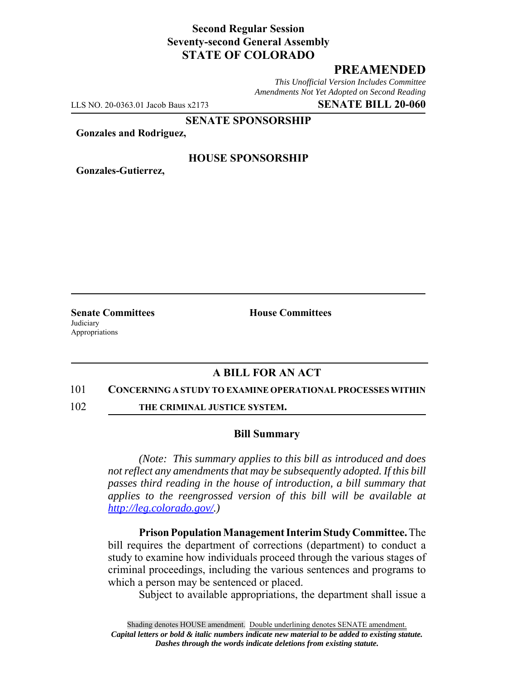# **Second Regular Session Seventy-second General Assembly STATE OF COLORADO**

# **PREAMENDED**

*This Unofficial Version Includes Committee Amendments Not Yet Adopted on Second Reading*

LLS NO. 20-0363.01 Jacob Baus x2173 **SENATE BILL 20-060**

**SENATE SPONSORSHIP**

**Gonzales and Rodriguez,**

### **HOUSE SPONSORSHIP**

**Gonzales-Gutierrez,**

**Judiciary** Appropriations

**Senate Committees House Committees** 

### **A BILL FOR AN ACT**

#### 101 **CONCERNING A STUDY TO EXAMINE OPERATIONAL PROCESSES WITHIN**

102 **THE CRIMINAL JUSTICE SYSTEM.**

#### **Bill Summary**

*(Note: This summary applies to this bill as introduced and does not reflect any amendments that may be subsequently adopted. If this bill passes third reading in the house of introduction, a bill summary that applies to the reengrossed version of this bill will be available at http://leg.colorado.gov/.)*

**Prison Population Management Interim Study Committee.** The bill requires the department of corrections (department) to conduct a study to examine how individuals proceed through the various stages of criminal proceedings, including the various sentences and programs to which a person may be sentenced or placed.

Subject to available appropriations, the department shall issue a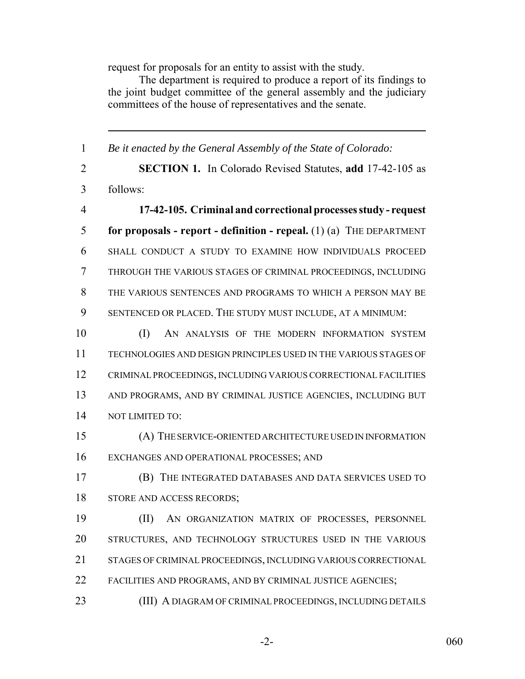request for proposals for an entity to assist with the study.

The department is required to produce a report of its findings to the joint budget committee of the general assembly and the judiciary committees of the house of representatives and the senate.

 *Be it enacted by the General Assembly of the State of Colorado:* **SECTION 1.** In Colorado Revised Statutes, **add** 17-42-105 as follows: **17-42-105. Criminal and correctional processes study - request for proposals - report - definition - repeal.** (1) (a) THE DEPARTMENT SHALL CONDUCT A STUDY TO EXAMINE HOW INDIVIDUALS PROCEED THROUGH THE VARIOUS STAGES OF CRIMINAL PROCEEDINGS, INCLUDING THE VARIOUS SENTENCES AND PROGRAMS TO WHICH A PERSON MAY BE SENTENCED OR PLACED. THE STUDY MUST INCLUDE, AT A MINIMUM: 10 (I) AN ANALYSIS OF THE MODERN INFORMATION SYSTEM TECHNOLOGIES AND DESIGN PRINCIPLES USED IN THE VARIOUS STAGES OF CRIMINAL PROCEEDINGS, INCLUDING VARIOUS CORRECTIONAL FACILITIES AND PROGRAMS, AND BY CRIMINAL JUSTICE AGENCIES, INCLUDING BUT NOT LIMITED TO: (A) THE SERVICE-ORIENTED ARCHITECTURE USED IN INFORMATION EXCHANGES AND OPERATIONAL PROCESSES; AND (B) THE INTEGRATED DATABASES AND DATA SERVICES USED TO STORE AND ACCESS RECORDS; (II) AN ORGANIZATION MATRIX OF PROCESSES, PERSONNEL STRUCTURES, AND TECHNOLOGY STRUCTURES USED IN THE VARIOUS STAGES OF CRIMINAL PROCEEDINGS, INCLUDING VARIOUS CORRECTIONAL FACILITIES AND PROGRAMS, AND BY CRIMINAL JUSTICE AGENCIES; (III) A DIAGRAM OF CRIMINAL PROCEEDINGS, INCLUDING DETAILS

-2- 060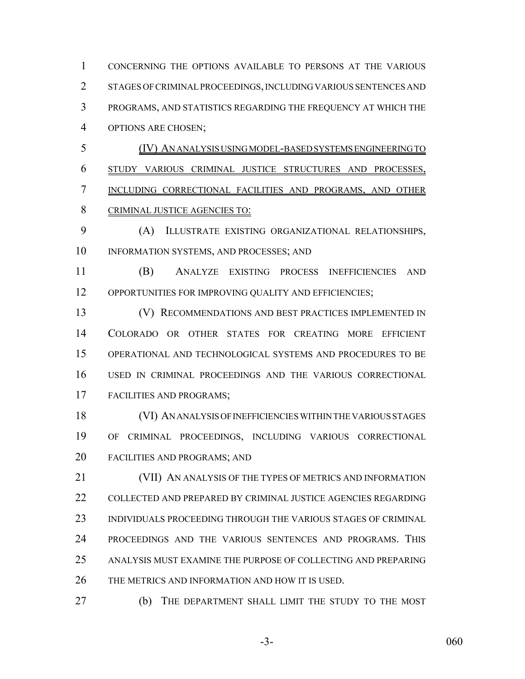CONCERNING THE OPTIONS AVAILABLE TO PERSONS AT THE VARIOUS STAGES OF CRIMINAL PROCEEDINGS, INCLUDING VARIOUS SENTENCES AND PROGRAMS, AND STATISTICS REGARDING THE FREQUENCY AT WHICH THE OPTIONS ARE CHOSEN;

 (IV) AN ANALYSIS USING MODEL-BASED SYSTEMS ENGINEERING TO STUDY VARIOUS CRIMINAL JUSTICE STRUCTURES AND PROCESSES, INCLUDING CORRECTIONAL FACILITIES AND PROGRAMS, AND OTHER CRIMINAL JUSTICE AGENCIES TO:

 (A) ILLUSTRATE EXISTING ORGANIZATIONAL RELATIONSHIPS, INFORMATION SYSTEMS, AND PROCESSES; AND

 (B) ANALYZE EXISTING PROCESS INEFFICIENCIES AND 12 OPPORTUNITIES FOR IMPROVING QUALITY AND EFFICIENCIES;

 (V) RECOMMENDATIONS AND BEST PRACTICES IMPLEMENTED IN COLORADO OR OTHER STATES FOR CREATING MORE EFFICIENT OPERATIONAL AND TECHNOLOGICAL SYSTEMS AND PROCEDURES TO BE USED IN CRIMINAL PROCEEDINGS AND THE VARIOUS CORRECTIONAL FACILITIES AND PROGRAMS;

 (VI) AN ANALYSIS OF INEFFICIENCIES WITHIN THE VARIOUS STAGES OF CRIMINAL PROCEEDINGS, INCLUDING VARIOUS CORRECTIONAL FACILITIES AND PROGRAMS; AND

 (VII) AN ANALYSIS OF THE TYPES OF METRICS AND INFORMATION COLLECTED AND PREPARED BY CRIMINAL JUSTICE AGENCIES REGARDING INDIVIDUALS PROCEEDING THROUGH THE VARIOUS STAGES OF CRIMINAL PROCEEDINGS AND THE VARIOUS SENTENCES AND PROGRAMS. THIS ANALYSIS MUST EXAMINE THE PURPOSE OF COLLECTING AND PREPARING THE METRICS AND INFORMATION AND HOW IT IS USED.

(b) THE DEPARTMENT SHALL LIMIT THE STUDY TO THE MOST

-3- 060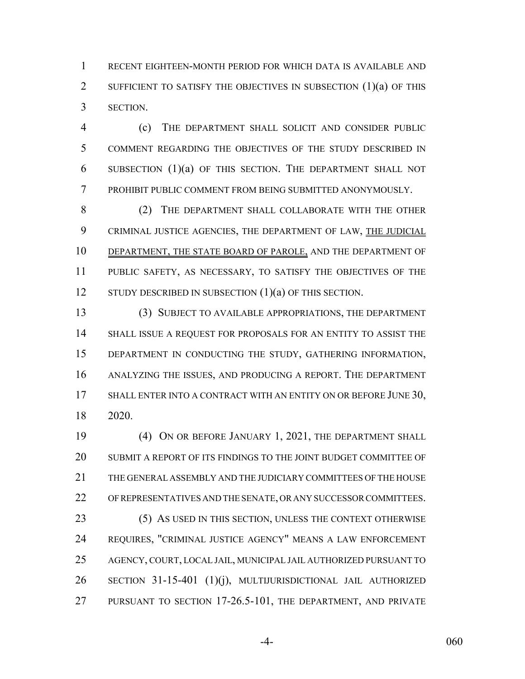RECENT EIGHTEEN-MONTH PERIOD FOR WHICH DATA IS AVAILABLE AND 2 SUFFICIENT TO SATISFY THE OBJECTIVES IN SUBSECTION (1)(a) OF THIS SECTION.

 (c) THE DEPARTMENT SHALL SOLICIT AND CONSIDER PUBLIC COMMENT REGARDING THE OBJECTIVES OF THE STUDY DESCRIBED IN SUBSECTION (1)(a) OF THIS SECTION. THE DEPARTMENT SHALL NOT PROHIBIT PUBLIC COMMENT FROM BEING SUBMITTED ANONYMOUSLY.

 (2) THE DEPARTMENT SHALL COLLABORATE WITH THE OTHER CRIMINAL JUSTICE AGENCIES, THE DEPARTMENT OF LAW, THE JUDICIAL DEPARTMENT, THE STATE BOARD OF PAROLE, AND THE DEPARTMENT OF PUBLIC SAFETY, AS NECESSARY, TO SATISFY THE OBJECTIVES OF THE 12 STUDY DESCRIBED IN SUBSECTION (1)(a) OF THIS SECTION.

 (3) SUBJECT TO AVAILABLE APPROPRIATIONS, THE DEPARTMENT SHALL ISSUE A REQUEST FOR PROPOSALS FOR AN ENTITY TO ASSIST THE DEPARTMENT IN CONDUCTING THE STUDY, GATHERING INFORMATION, ANALYZING THE ISSUES, AND PRODUCING A REPORT. THE DEPARTMENT 17 SHALL ENTER INTO A CONTRACT WITH AN ENTITY ON OR BEFORE JUNE 30, 2020.

 (4) ON OR BEFORE JANUARY 1, 2021, THE DEPARTMENT SHALL SUBMIT A REPORT OF ITS FINDINGS TO THE JOINT BUDGET COMMITTEE OF THE GENERAL ASSEMBLY AND THE JUDICIARY COMMITTEES OF THE HOUSE OF REPRESENTATIVES AND THE SENATE, OR ANY SUCCESSOR COMMITTEES.

 (5) AS USED IN THIS SECTION, UNLESS THE CONTEXT OTHERWISE REQUIRES, "CRIMINAL JUSTICE AGENCY" MEANS A LAW ENFORCEMENT AGENCY, COURT, LOCAL JAIL, MUNICIPAL JAIL AUTHORIZED PURSUANT TO SECTION 31-15-401 (1)(j), MULTIJURISDICTIONAL JAIL AUTHORIZED PURSUANT TO SECTION 17-26.5-101, THE DEPARTMENT, AND PRIVATE